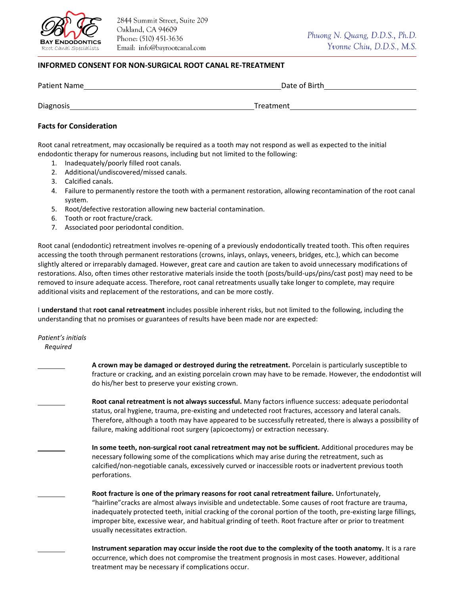

## **INFORMED CONSENT FOR NON-SURGICAL ROOT CANAL RE-TREATMENT**

| <b>Patient Name</b> | Date of Birth |
|---------------------|---------------|
|                     |               |
| <b>Diagnosis</b>    | Treatment     |

## **Facts for Consideration**

Root canal retreatment, may occasionally be required as a tooth may not respond as well as expected to the initial endodontic therapy for numerous reasons, including but not limited to the following:

- 1. Inadequately/poorly filled root canals.
- 2. Additional/undiscovered/missed canals.
- 3. Calcified canals.
- 4. Failure to permanently restore the tooth with a permanent restoration, allowing recontamination of the root canal system.
- 5. Root/defective restoration allowing new bacterial contamination.
- 6. Tooth or root fracture/crack.
- 7. Associated poor periodontal condition.

Root canal (endodontic) retreatment involves re-opening of a previously endodontically treated tooth. This often requires accessing the tooth through permanent restorations (crowns, inlays, onlays, veneers, bridges, etc.), which can become slightly altered or irreparably damaged. However, great care and caution are taken to avoid unnecessary modifications of restorations. Also, often times other restorative materials inside the tooth (posts/build-ups/pins/cast post) may need to be removed to insure adequate access. Therefore, root canal retreatments usually take longer to complete, may require additional visits and replacement of the restorations, and can be more costly.

I **understand** that **root canal retreatment** includes possible inherent risks, but not limited to the following, including the understanding that no promises or guarantees of results have been made nor are expected:

*Patient's initials Required*

| A crown may be damaged or destroyed during the retreatment. Porcelain is particularly susceptible to<br>fracture or cracking, and an existing porcelain crown may have to be remade. However, the endodontist will<br>do his/her best to preserve your existing crown.                                                                                                                                                                                                         |
|--------------------------------------------------------------------------------------------------------------------------------------------------------------------------------------------------------------------------------------------------------------------------------------------------------------------------------------------------------------------------------------------------------------------------------------------------------------------------------|
| Root canal retreatment is not always successful. Many factors influence success: adequate periodontal<br>status, oral hygiene, trauma, pre-existing and undetected root fractures, accessory and lateral canals.<br>Therefore, although a tooth may have appeared to be successfully retreated, there is always a possibility of<br>failure, making additional root surgery (apicoectomy) or extraction necessary.                                                             |
| In some teeth, non-surgical root canal retreatment may not be sufficient. Additional procedures may be<br>necessary following some of the complications which may arise during the retreatment, such as<br>calcified/non-negotiable canals, excessively curved or inaccessible roots or inadvertent previous tooth<br>perforations.                                                                                                                                            |
| Root fracture is one of the primary reasons for root canal retreatment failure. Unfortunately,<br>"hairline" cracks are almost always invisible and undetectable. Some causes of root fracture are trauma,<br>inadequately protected teeth, initial cracking of the coronal portion of the tooth, pre-existing large fillings,<br>improper bite, excessive wear, and habitual grinding of teeth. Root fracture after or prior to treatment<br>usually necessitates extraction. |
| Instrument separation may occur inside the root due to the complexity of the tooth anatomy. It is a rare                                                                                                                                                                                                                                                                                                                                                                       |

occurrence, which does not compromise the treatment prognosis in most cases. However, additional treatment may be necessary if complications occur.